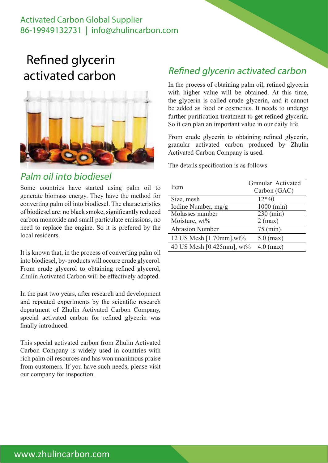### Activated Carbon Global Supplier 86-19949132731 | info@zhulincarbon.com

# Refined glycerin activated carbon



#### Palm oil into biodiesel

Some countries have started using palm oil to generate biomass energy. They have the method for converting palm oil into biodiesel. The characteristics of biodiesel are: no black smoke, significantly reduced carbon monoxide and small particulate emissions, no need to replace the engine. So it is prefered by the local residents.

It is known that, in the process of converting palm oil into biodiesel, by-products will occure crude glycerol. From crude glycerol to obtaining refined glycerol, Zhulin Activated Carbon will be effectively adopted.

In the past two years, after research and development and repeated experiments by the scientific research department of Zhulin Activated Carbon Company, special activated carbon for refined glycerin was finally introduced.

This special activated carbon from Zhulin Activated Carbon Company is widely used in countries with rich palm oil resources and has won unanimous praise from customers. If you have such needs, please visit our company for inspection.

### Refined glycerin activated carbon

In the process of obtaining palm oil, refined glycerin with higher value will be obtained. At this time, the glycerin is called crude glycerin, and it cannot be added as food or cosmetics. It needs to undergo further purification treatment to get refined glycerin. So it can plan an important value in our daily life.

From crude glycerin to obtaining refined glycerin, granular activated carbon produced by Zhulin Activated Carbon Company is used.

The details specification is as follows:

| Item                      | Granular Activated<br>Carbon (GAC) |
|---------------------------|------------------------------------|
| Size, mesh                | $12*40$                            |
| Iodine Number, mg/g       | 1000 (min)                         |
| Molasses number           | $230 \text{ (min)}$                |
| Moisture, wt%             | $2$ (max)                          |
| <b>Abrasion Number</b>    | $75 \text{ (min)}$                 |
| 12 US Mesh [1.70mm], wt%  | $5.0$ (max)                        |
| 40 US Mesh [0.425mm], wt% | $4.0$ (max)                        |